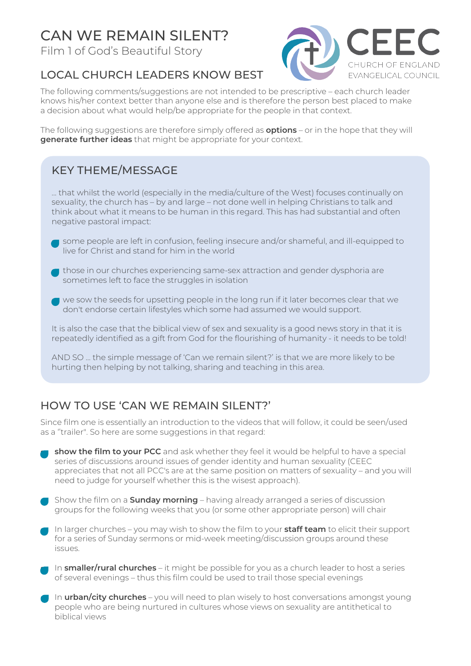# CAN WE REMAIN SILENT?

Film 1 of God's Beautiful Story



#### LOCAL CHURCH LEADERS KNOW BEST

The following comments/suggestions are not intended to be prescriptive – each church leader knows his/her context better than anyone else and is therefore the person best placed to make a decision about what would help/be appropriate for the people in that context.

The following suggestions are therefore simply offered as **options** – or in the hope that they will **generate further ideas** that might be appropriate for your context.

## KEY THEME/MESSAGE

… that whilst the world (especially in the media/culture of the West) focuses continually on sexuality, the church has – by and large – not done well in helping Christians to talk and think about what it means to be human in this regard. This has had substantial and often negative pastoral impact:

- some people are left in confusion, feeling insecure and/or shameful, and ill-equipped to live for Christ and stand for him in the world
- those in our churches experiencing same-sex attraction and gender dysphoria are sometimes left to face the struggles in isolation
- $\blacksquare$  we sow the seeds for upsetting people in the long run if it later becomes clear that we don't endorse certain lifestyles which some had assumed we would support.

It is also the case that the biblical view of sex and sexuality is a good news story in that it is repeatedly identified as a gift from God for the flourishing of humanity - it needs to be told!

AND SO … the simple message of 'Can we remain silent?' is that we are more likely to be hurting then helping by not talking, sharing and teaching in this area.

## HOW TO USE 'CAN WE REMAIN SILENT?'

Since film one is essentially an introduction to the videos that will follow, it could be seen/used as a ''trailer". So here are some suggestions in that regard:

- **show the film to your PCC** and ask whether they feel it would be helpful to have a special series of discussions around issues of gender identity and human sexuality (CEEC appreciates that not all PCC's are at the same position on matters of sexuality – and you will need to judge for yourself whether this is the wisest approach).
- Show the film on a **Sunday morning** having already arranged a series of discussion groups for the following weeks that you (or some other appropriate person) will chair
- In larger churches you may wish to show the film to your **staff team** to elicit their support for a series of Sunday sermons or mid-week meeting/discussion groups around these issues.
- In **smaller/rural churches** it might be possible for you as a church leader to host a series of several evenings – thus this film could be used to trail those special evenings
- In **urban/city churches** you will need to plan wisely to host conversations amongst young people who are being nurtured in cultures whose views on sexuality are antithetical to biblical views